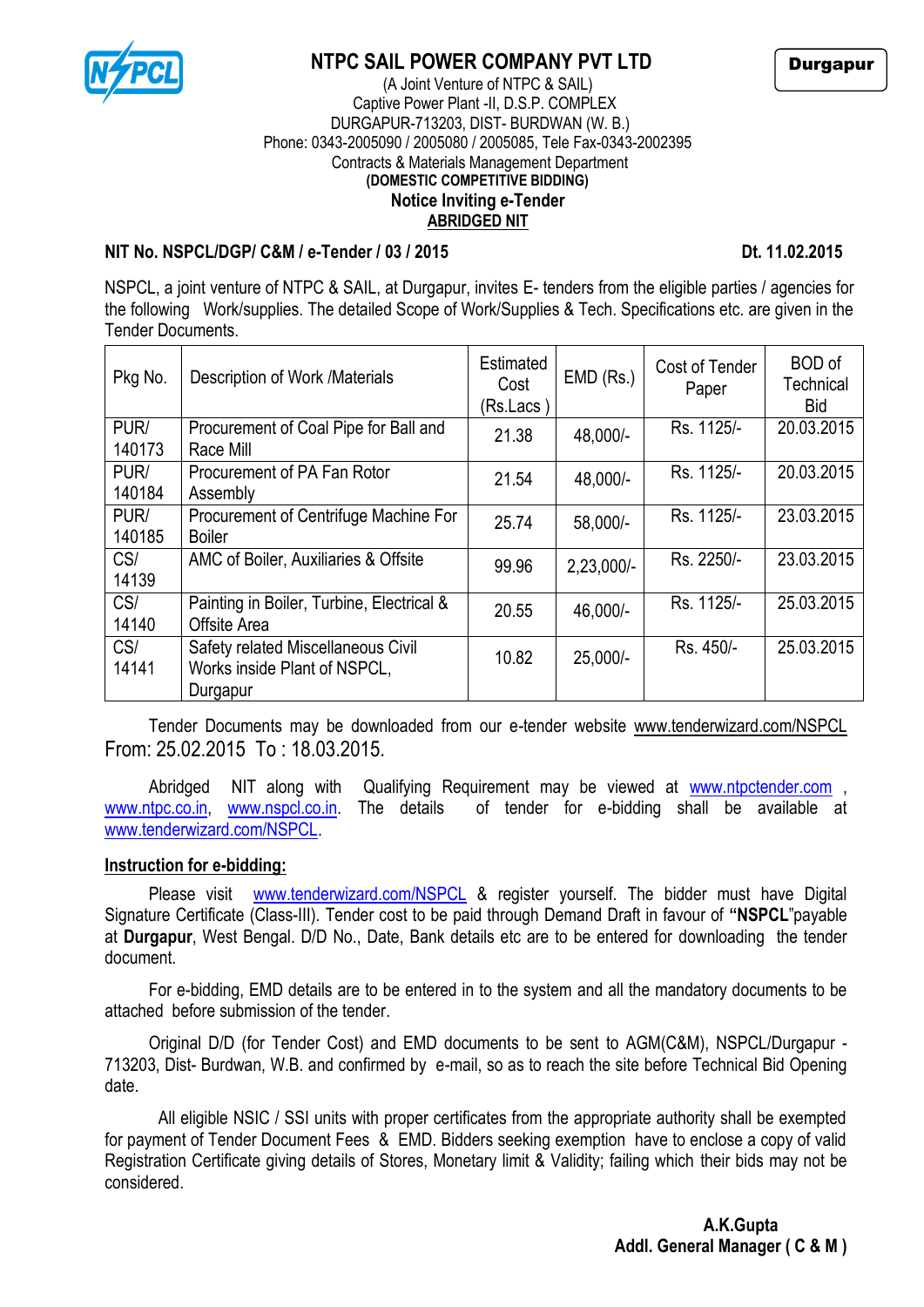

## **NTPC SAIL POWER COMPANY PVT LTD**

Durgapur

#### (A Joint Venture of NTPC & SAIL) Captive Power Plant -II, D.S.P. COMPLEX DURGAPUR-713203, DIST- BURDWAN (W. B.) Phone: 0343-2005090 / 2005080 / 2005085, Tele Fax-0343-2002395 Contracts & Materials Management Department **(DOMESTIC COMPETITIVE BIDDING) Notice Inviting e-Tender ABRIDGED NIT**

### **NIT No. NSPCL/DGP/ C&M / e-Tender / 03 / 2015 Dt. 11.02.2015**

NSPCL, a joint venture of NTPC & SAIL, at Durgapur, invites E- tenders from the eligible parties / agencies for the following Work/supplies. The detailed Scope of Work/Supplies & Tech. Specifications etc. are given in the Tender Documents.

| Pkg No.        | Description of Work /Materials                                                 | Estimated<br>Cost<br>(Rs.Lacs ) | EMD (Rs.)    | Cost of Tender<br>Paper | <b>BOD</b> of<br>Technical<br><b>Bid</b> |
|----------------|--------------------------------------------------------------------------------|---------------------------------|--------------|-------------------------|------------------------------------------|
| PUR/<br>140173 | Procurement of Coal Pipe for Ball and<br>Race Mill                             | 21.38                           | 48,000/-     | Rs. 1125/-              | 20.03.2015                               |
| PUR/<br>140184 | Procurement of PA Fan Rotor<br>Assembly                                        | 21.54                           | 48,000/-     | Rs. 1125/-              | 20.03.2015                               |
| PUR/<br>140185 | Procurement of Centrifuge Machine For<br><b>Boiler</b>                         | 25.74                           | 58,000/-     | Rs. 1125/-              | 23.03.2015                               |
| CS/<br>14139   | AMC of Boiler, Auxiliaries & Offsite                                           | 99.96                           | $2,23,000/-$ | Rs. 2250/-              | 23.03.2015                               |
| CS/<br>14140   | Painting in Boiler, Turbine, Electrical &<br>Offsite Area                      | 20.55                           | 46,000/-     | Rs. 1125/-              | 25.03.2015                               |
| CS/<br>14141   | Safety related Miscellaneous Civil<br>Works inside Plant of NSPCL,<br>Durgapur | 10.82                           | $25,000/-$   | Rs. 450/-               | 25.03.2015                               |

Tender Documents may be downloaded from our e-tender website [www.tenderwizard.com/NSPCL](http://www.tenderwizard.com/NSPCL%20From:%2025.02.2015) [From: 25.02.2015](http://www.tenderwizard.com/NSPCL%20From:%2025.02.2015) To : 18.03.2015.

Abridged NIT along with Qualifying Requirement may be viewed at [www.ntpctender.com](http://www.ntpctender.com/), [www.ntpc.co.in,](http://www.ntpc.co.in/) [www.nspcl.co.in.](http://www.nspcl.co.in/) The details of tender for e-bidding shall be available at [www.tenderwizard.com/NSPCL.](http://www.tenderwizard.com/NSPCL)

### **Instruction for e-bidding:**

Please visit [www.tenderwizard.com/NSPCL](http://www.tenderwizard.com/NSPCL) & register vourself. The bidder must have Digital Signature Certificate (Class-III). Tender cost to be paid through Demand Draft in favour of **"NSPCL**"payable at **Durgapur**, West Bengal. D/D No., Date, Bank details etc are to be entered for downloading the tender document.

For e-bidding, EMD details are to be entered in to the system and all the mandatory documents to be attached before submission of the tender.

Original D/D (for Tender Cost) and EMD documents to be sent to AGM(C&M), NSPCL/Durgapur - 713203, Dist- Burdwan, W.B. and confirmed by e-mail, so as to reach the site before Technical Bid Opening date.

 All eligible NSIC / SSI units with proper certificates from the appropriate authority shall be exempted for payment of Tender Document Fees & EMD. Bidders seeking exemption have to enclose a copy of valid Registration Certificate giving details of Stores, Monetary limit & Validity; failing which their bids may not be considered.

 **A.K.Gupta Addl. General Manager ( C & M )**